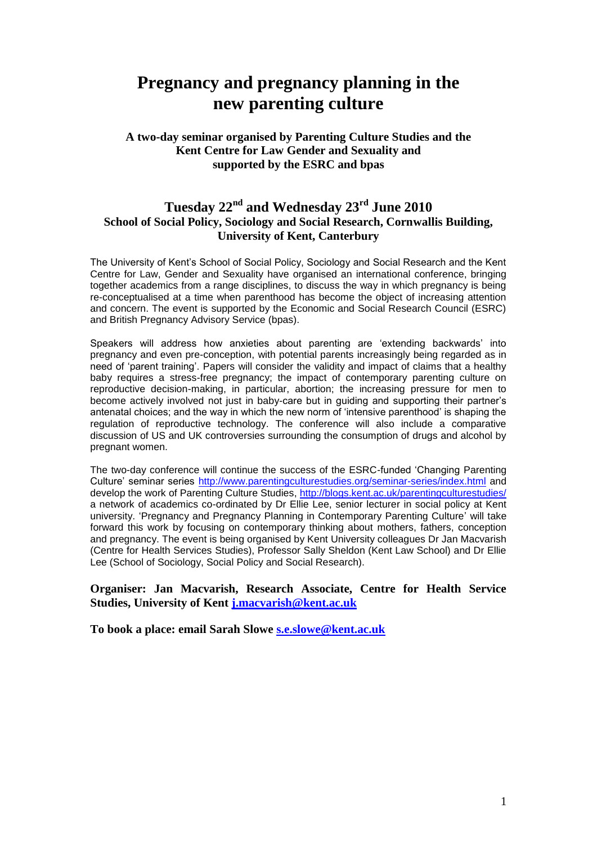# **Pregnancy and pregnancy planning in the new parenting culture**

## **A two-day seminar organised by Parenting Culture Studies and the Kent Centre for Law Gender and Sexuality and supported by the ESRC and bpas**

# **Tuesday 22nd and Wednesday 23rd June 2010 School of Social Policy, Sociology and Social Research, Cornwallis Building, University of Kent, Canterbury**

The University of Kent's School of Social Policy, Sociology and Social Research and the Kent Centre for Law, Gender and Sexuality have organised an international conference, bringing together academics from a range disciplines, to discuss the way in which pregnancy is being re-conceptualised at a time when parenthood has become the object of increasing attention and concern. The event is supported by the Economic and Social Research Council (ESRC) and British Pregnancy Advisory Service (bpas).

Speakers will address how anxieties about parenting are 'extending backwards' into pregnancy and even pre-conception, with potential parents increasingly being regarded as in need of 'parent training'. Papers will consider the validity and impact of claims that a healthy baby requires a stress-free pregnancy; the impact of contemporary parenting culture on reproductive decision-making, in particular, abortion; the increasing pressure for men to become actively involved not just in baby-care but in guiding and supporting their partner's antenatal choices; and the way in which the new norm of 'intensive parenthood' is shaping the regulation of reproductive technology. The conference will also include a comparative discussion of US and UK controversies surrounding the consumption of drugs and alcohol by pregnant women.

The two-day conference will continue the success of the ESRC-funded 'Changing Parenting Culture' seminar series [http://www.parentingculturestudies.org/seminar-series/index.html](https://owa.connect.kent.ac.uk/owa/redir.aspx?C=75185fc6a76748bf91cedbb25a3527e0&URL=http%3a%2f%2fwww.parentingculturestudies.org%2fseminar-series%2findex.html) and develop the work of Parenting Culture Studies, [http://blogs.kent.ac.uk/parentingculturestudies/](https://owa.connect.kent.ac.uk/owa/redir.aspx?C=75185fc6a76748bf91cedbb25a3527e0&URL=http%3a%2f%2fblogs.kent.ac.uk%2fparentingculturestudies%2f) a network of academics co-ordinated by Dr Ellie Lee, senior lecturer in social policy at Kent university. 'Pregnancy and Pregnancy Planning in Contemporary Parenting Culture' will take forward this work by focusing on contemporary thinking about mothers, fathers, conception and pregnancy. The event is being organised by Kent University colleagues Dr Jan Macvarish (Centre for Health Services Studies), Professor Sally Sheldon (Kent Law School) and Dr Ellie Lee (School of Sociology, Social Policy and Social Research).

#### **Organiser: Jan Macvarish, Research Associate, Centre for Health Service Studies, University of Kent [j.macvarish@kent.ac.uk](mailto:j.macvarish@kent.ac.uk)**

**To book a place: email Sarah Slowe [s.e.slowe@kent.ac.uk](mailto:s.e.slowe@kent.ac.uk)**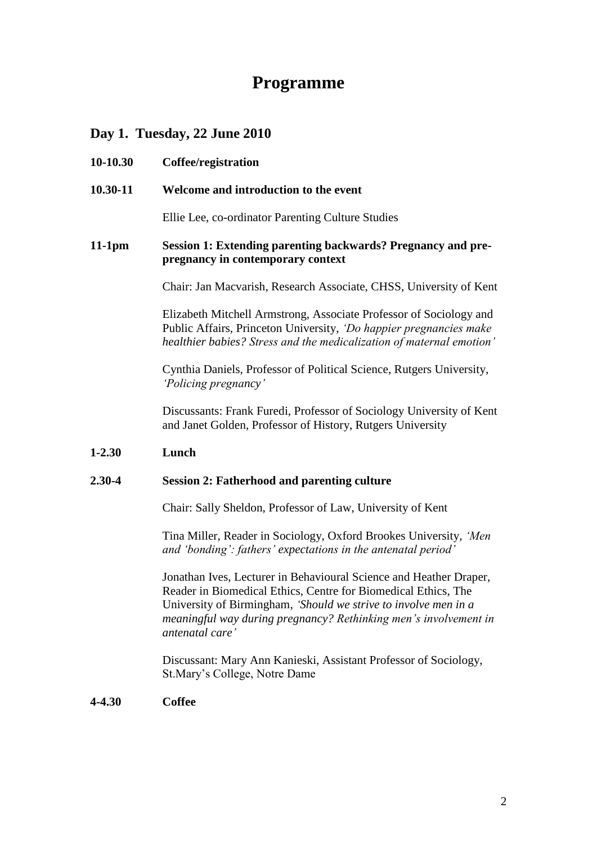# **Programme**

# **Day 1. Tuesday, 22 June 2010**

| 10-10.30   | Coffee/registration                                                                                                                                                                                              |
|------------|------------------------------------------------------------------------------------------------------------------------------------------------------------------------------------------------------------------|
| 10.30-11   | Welcome and introduction to the event                                                                                                                                                                            |
|            | Ellie Lee, co-ordinator Parenting Culture Studies                                                                                                                                                                |
| $11-1pm$   | Session 1: Extending parenting backwards? Pregnancy and pre-<br>pregnancy in contemporary context                                                                                                                |
|            | Chair: Jan Macvarish, Research Associate, CHSS, University of Kent                                                                                                                                               |
|            | Elizabeth Mitchell Armstrong, Associate Professor of Sociology and<br>Public Affairs, Princeton University, 'Do happier pregnancies make<br>healthier babies? Stress and the medicalization of maternal emotion' |
|            | Cynthia Daniels, Professor of Political Science, Rutgers University,<br>'Policing pregnancy'                                                                                                                     |
|            | Discussants: Frank Furedi, Professor of Sociology University of Kent<br>and Janet Golden, Professor of History, Rutgers University                                                                               |
| $1 - 2.30$ | Lunch                                                                                                                                                                                                            |
| 2.30-4     | <b>Session 2: Fatherhood and parenting culture</b>                                                                                                                                                               |
|            | Chair: Sally Sheldon, Professor of Law, University of Kent                                                                                                                                                       |
|            | $\mathbf{T}_{1}^{t}$ . Miller Declerin $\mathbf{0}$ , the compact of Declering Heisensity (Mar                                                                                                                   |

Tina Miller, Reader in Sociology, Oxford Brookes University, *'Men and 'bonding': fathers' expectations in the antenatal period'*

Jonathan Ives, Lecturer in Behavioural Science and Heather Draper, Reader in Biomedical Ethics, Centre for Biomedical Ethics, The University of Birmingham, *'Should we strive to involve men in a meaningful way during pregnancy? Rethinking men's involvement in antenatal care'*

Discussant: Mary Ann Kanieski, Assistant Professor of Sociology, St.Mary's College, Notre Dame

# **4-4.30 Coffee**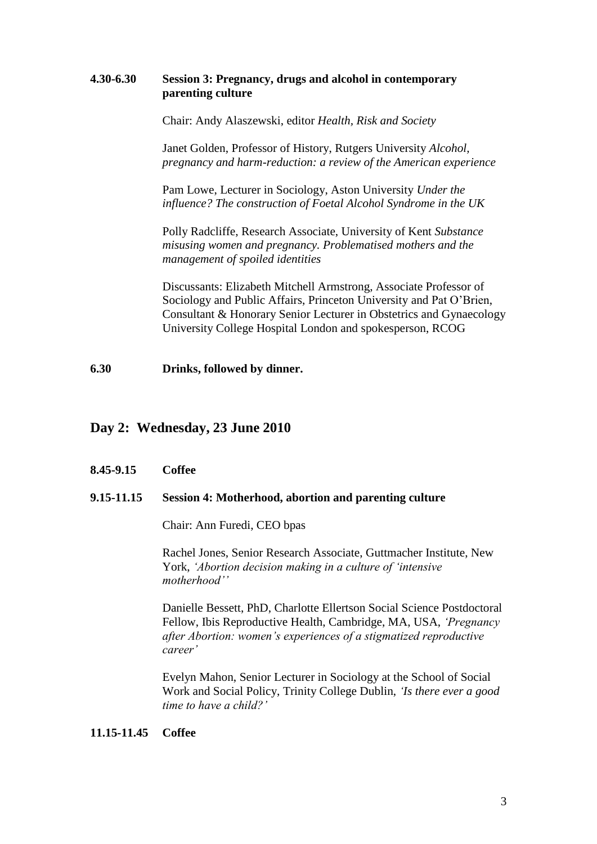### **4.30-6.30 Session 3: Pregnancy, drugs and alcohol in contemporary parenting culture**

Chair: Andy Alaszewski, editor *Health, Risk and Society*

Janet Golden, Professor of History, Rutgers University *Alcohol, pregnancy and harm-reduction: a review of the American experience*

Pam Lowe, Lecturer in Sociology, Aston University *Under the influence? The construction of Foetal Alcohol Syndrome in the UK*

Polly Radcliffe, Research Associate, University of Kent *Substance misusing women and pregnancy. Problematised mothers and the management of spoiled identities*

Discussants: Elizabeth Mitchell Armstrong, Associate Professor of Sociology and Public Affairs, Princeton University and Pat O'Brien, Consultant & Honorary Senior Lecturer in Obstetrics and Gynaecology University College Hospital London and spokesperson, RCOG

**6.30 Drinks, followed by dinner.**

# **Day 2: Wednesday, 23 June 2010**

### **8.45-9.15 Coffee**

#### **9.15-11.15 Session 4: Motherhood, abortion and parenting culture**

Chair: Ann Furedi, CEO bpas

Rachel Jones, Senior Research Associate, Guttmacher Institute, New York, *'Abortion decision making in a culture of 'intensive motherhood''*

Danielle Bessett, PhD, Charlotte Ellertson Social Science Postdoctoral Fellow, Ibis Reproductive Health, Cambridge, MA, USA, *'Pregnancy after Abortion: women's experiences of a stigmatized reproductive career'*

Evelyn Mahon, Senior Lecturer in Sociology at the School of Social Work and Social Policy, Trinity College Dublin, *'Is there ever a good time to have a child?'*

#### **11.15-11.45 Coffee**